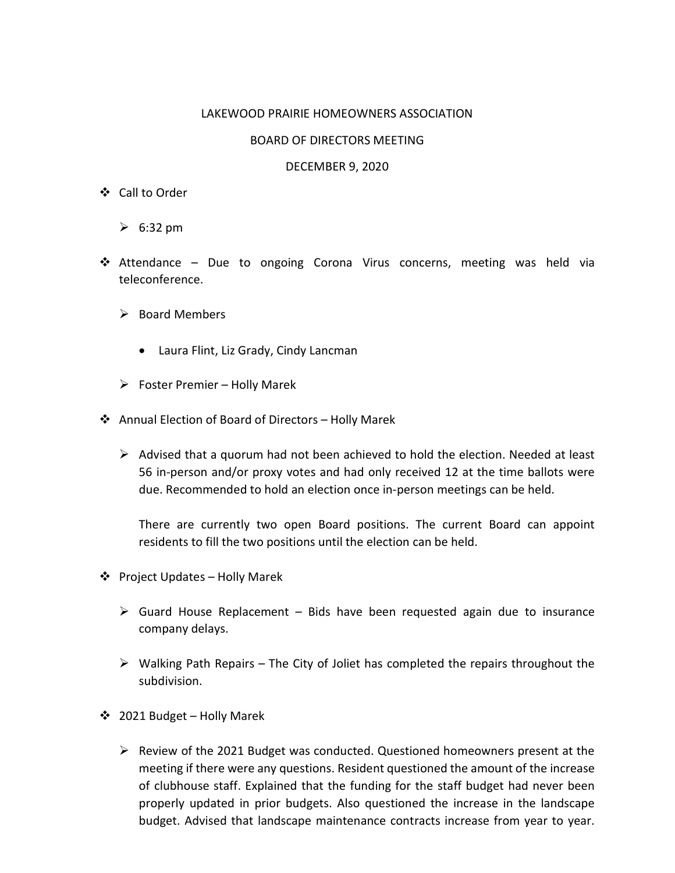## LAKEWOOD PRAIRIE HOMEOWNERS ASSOCIATION

## BOARD OF DIRECTORS MEETING

## DECEMBER 9, 2020

- Call to Order
	- $\geqslant$  6:32 pm
- Attendance Due to ongoing Corona Virus concerns, meeting was held via teleconference.
	- $\triangleright$  Board Members
		- Laura Flint, Liz Grady, Cindy Lancman
	- $\triangleright$  Foster Premier Holly Marek
- Annual Election of Board of Directors Holly Marek
	- $\triangleright$  Advised that a quorum had not been achieved to hold the election. Needed at least 56 in-person and/or proxy votes and had only received 12 at the time ballots were due. Recommended to hold an election once in-person meetings can be held.

There are currently two open Board positions. The current Board can appoint residents to fill the two positions until the election can be held.

- ❖ Project Updates Holly Marek
	- $\triangleright$  Guard House Replacement Bids have been requested again due to insurance company delays.
	- $\triangleright$  Walking Path Repairs The City of Joliet has completed the repairs throughout the subdivision.
- 2021 Budget Holly Marek
	- $\triangleright$  Review of the 2021 Budget was conducted. Questioned homeowners present at the meeting if there were any questions. Resident questioned the amount of the increase of clubhouse staff. Explained that the funding for the staff budget had never been properly updated in prior budgets. Also questioned the increase in the landscape budget. Advised that landscape maintenance contracts increase from year to year.